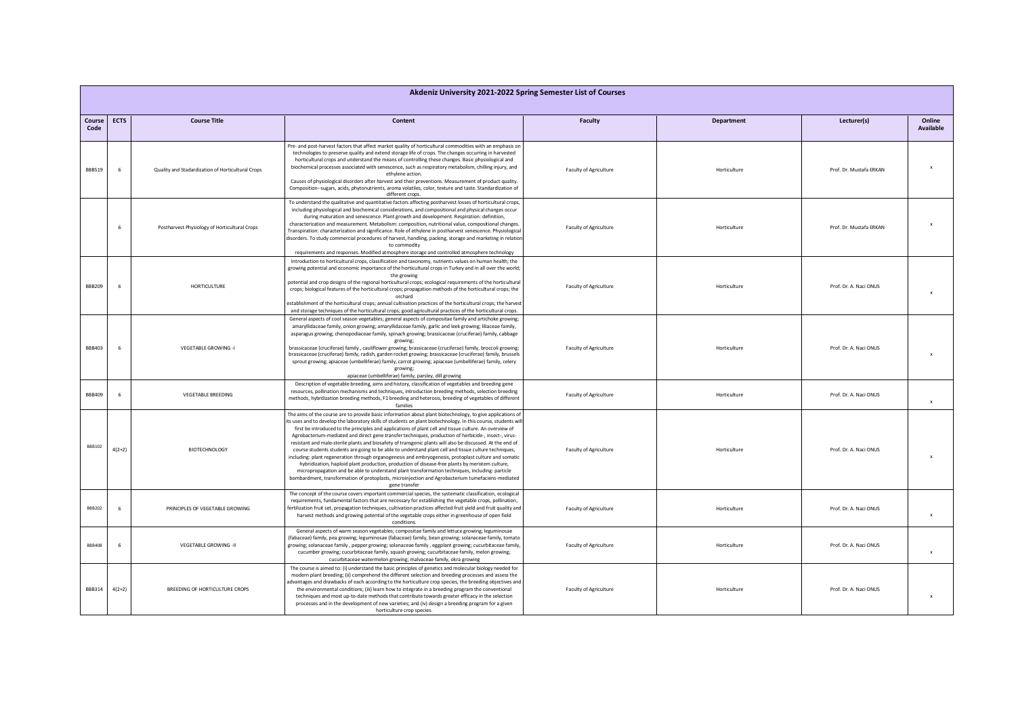| Akdeniz University 2021-2022 Spring Semester List of Courses |             |                                                   |                                                                                                                                                                                                                                                                                                                                                                                                                                                                                                                                                                                                                                                                                                                                                                                                                                                                                                                                                                                                                                                                                                              |                        |                   |                         |                           |
|--------------------------------------------------------------|-------------|---------------------------------------------------|--------------------------------------------------------------------------------------------------------------------------------------------------------------------------------------------------------------------------------------------------------------------------------------------------------------------------------------------------------------------------------------------------------------------------------------------------------------------------------------------------------------------------------------------------------------------------------------------------------------------------------------------------------------------------------------------------------------------------------------------------------------------------------------------------------------------------------------------------------------------------------------------------------------------------------------------------------------------------------------------------------------------------------------------------------------------------------------------------------------|------------------------|-------------------|-------------------------|---------------------------|
| Course<br>Code                                               | <b>ECTS</b> | <b>Course Title</b>                               | Content                                                                                                                                                                                                                                                                                                                                                                                                                                                                                                                                                                                                                                                                                                                                                                                                                                                                                                                                                                                                                                                                                                      | <b>Faculty</b>         | <b>Department</b> | Lecturer(s)             | Online<br>Available       |
| BBB519                                                       | -6          | Quality and Stadardization of Horticultural Crops | Pre- and post-harvest factors that affect market quality of horticultural commodities with an emphasis on<br>technologies to preserve quality and extend storage life of crops. The changes occurring in harvested<br>horticultural crops and understand the means of controlling these changes. Basic physiological and<br>biochemical processes associated with senescence, such as respiratory metabolism, chilling injury, and<br>ethylene action.<br>Causes of physiological disorders after harvest and their preventions. Measurement of product quality.<br>Composition--sugars, acids, phytonutrients, aroma volatiles, color, texture and taste. Standardization of<br>different crops.                                                                                                                                                                                                                                                                                                                                                                                                            | Faculty of Agriculture | Horticulture      | Prof. Dr. Mustafa ERKAN |                           |
|                                                              | -6          | Postharvest Physiology of Horticultural Crops     | To understand the qualitative and quantitative factors affecting postharvest losses of horticultural crops,<br>including physiological and biochemical considerations, and compositional and physical changes occur<br>during maturation and senescence. Plant growth and development. Respiration: definition,<br>characterization and measurement. Metabolism: composition, nutritional value, compositional changes.<br>Transpiration: characterization and significance. Role of ethylene in postharvest senescence. Physiological<br>disorders. To study commercial procedures of harvest, handling, packing, storage and marketing in relation<br>to commodity<br>requirements and responses. Modified atmosphere storage and controlled atmosphere technology                                                                                                                                                                                                                                                                                                                                         | Faculty of Agriculture | Horticulture      | Prof. Dr. Mustafa ERKAN |                           |
| <b>BBB209</b>                                                | -6          | <b>HORTICULTURE</b>                               | Introduction to horticultural crops, classification and taxonomy, nutrients values on human health; the<br>growing potential and economic importance of the horticultural crops in Turkey and in all over the world;<br>the growing<br>potential and crop designs of the regional horticultural crops; ecological requirements of the horticultural<br>crops; biological features of the horticultural crops; propagation methods of the horticultural crops; the<br>orchard<br>establishment of the horticultural crops; annual cultivation practices of the horticultural crops; the harvest<br>and storage techniques of the horticultural crops; good agricultural practices of the horticultural crops.                                                                                                                                                                                                                                                                                                                                                                                                 | Faculty of Agriculture | Horticulture      | Prof. Dr. A. Naci ONUS  | $\boldsymbol{\mathsf{x}}$ |
| <b>BBB403</b>                                                |             | VEGETABLE GROWING -I                              | General aspects of cool season vegetables; general aspects of compositae family and artichoke growing;<br>amaryllidaceae family, onion growing; amaryllidaceae family, garlic and leek growing; liliaceae family,<br>asparagus growing; chenopodiaceae family, spinach growing; brassicaceae (cruciferae) family, cabbage<br>growing;<br>brassicaceae (cruciferae) family, cauliflower growing; brassicaceae (cruciferae) family, broccoli growing;<br>brassicaceae (cruciferae) family, radish, garden rocket growing; brassicaceae (cruciferae) family, brussels<br>sprout growing; apiaceae (umbelliferae) family, carrot growing; apiaceae (umbelliferae) family, celery<br>growing;<br>apiaceae (umbelliferae) family, parsley, dill growing                                                                                                                                                                                                                                                                                                                                                            | Faculty of Agriculture | Horticulture      | Prof. Dr. A. Naci ONUS  |                           |
| <b>BBB409</b>                                                | -6          | VEGETABLE BREEDING                                | Description of vegetable breeding, aims and history, classification of vegetables and breeding gene<br>resources, pollination mechanisms and techniques, introduction breeding methods, selection breeding<br>methods, hybrdization breeding methods, F1 breeding and heterosis, breeding of vegetables of different<br>families                                                                                                                                                                                                                                                                                                                                                                                                                                                                                                                                                                                                                                                                                                                                                                             | Faculty of Agriculture | Horticulture      | Prof. Dr. A. Naci ONUS  | $\mathbf{x}$              |
| BBB102                                                       | $4(2+2)$    | <b>BIOTECHNOLOGY</b>                              | The aims of the course are to provide basic information about plant biotechnology, to give applications of<br>its uses and to develop the laboratory skills of students on plant biotechnology. In this course, students wil<br>first be introduced to the principles and applications of plant cell and tissue culture. An overview of<br>Agrobacterium-mediated and direct gene transfer techniques, production of herbicide-, insect-, virus-<br>resistant and male-sterile plants and biosafety of transgenic plants will also be discussed. At the end of<br>course students students are going to be able to understand plant cell and tissue culture techniques,<br>including: plant regeneration through organogenesis and embryogenesis, protoplast culture and somatic<br>hybridization, haploid plant production, production of disease-free plants by meristem culture,<br>micropropagation and be able to understand plant transformation techniques, including: particle<br>bombardment, transformation of protoplasts, microinjection and Agrobacterium tumefaciens-mediated<br>gene transfer | Faculty of Agriculture | Horticulture      | Prof. Dr. A. Naci ONUS  | $\mathbf{x}$              |
| <b>BBB202</b>                                                | 6           | PRINCIPLES OF VEGETABLE GROWING                   | The concept of the course covers important commercial species, the systematic classification, ecological<br>requirements, fundamental factors that are necessary for establishing the vegetable crops, pollination,<br>fertilization fruit set, propagation techniques, cultivation practices affected fruit yield and fruit quality and<br>harvest methods and growing potential of the vegetable crops either in greenhouse of open field<br>conditions.                                                                                                                                                                                                                                                                                                                                                                                                                                                                                                                                                                                                                                                   | Faculty of Agriculture | Horticulture      | Prof. Dr. A. Naci ONUS  | $\mathbf{x}$              |
| <b>BBB408</b>                                                |             | VEGETABLE GROWING -II                             | General aspects of warm season vegetables; compositae family and lettuce growing; leguminosae<br>(fabaceae) family, pea growing; leguminosae (fabaceae) family, bean growing; solanaceae family, tomato<br>growing; solanaceae family, pepper growing; solanaceae family, eggplant growing; cucurbitaceae family,<br>cucumber growing; cucurbitaceae family, squash growing; cucurbitaceae family, melon growing;<br>cucurbitaceae watermelon growing; malvaceae family, okra growing                                                                                                                                                                                                                                                                                                                                                                                                                                                                                                                                                                                                                        | Faculty of Agriculture | Horticulture      | Prof. Dr. A. Naci ONUS  | $\boldsymbol{\mathsf{x}}$ |
| <b>BBB314</b>                                                | $4(2+2)$    | BREEDING OF HORTICULTURE CROPS                    | The course is aimed to: (i) understand the basic principles of genetics and molecular biology needed for<br>modern plant breeding; (ii) comprehend the different selection and breeding processes and assess the<br>advantages and drawbacks of each according to the horticulture crop species, the breeding objectives and<br>the environmental conditions; (iii) learn how to integrate in a breeding program the conventional<br>techniques and most up-to-date methods that contribute towards greater efficacy in the selection<br>processes and in the development of new varieties; and (iv) design a breeding program for a given<br>horticulture crop species.                                                                                                                                                                                                                                                                                                                                                                                                                                     | Faculty of Agriculture | Horticulture      | Prof. Dr. A. Naci ONUS  | $\mathbf{x}$              |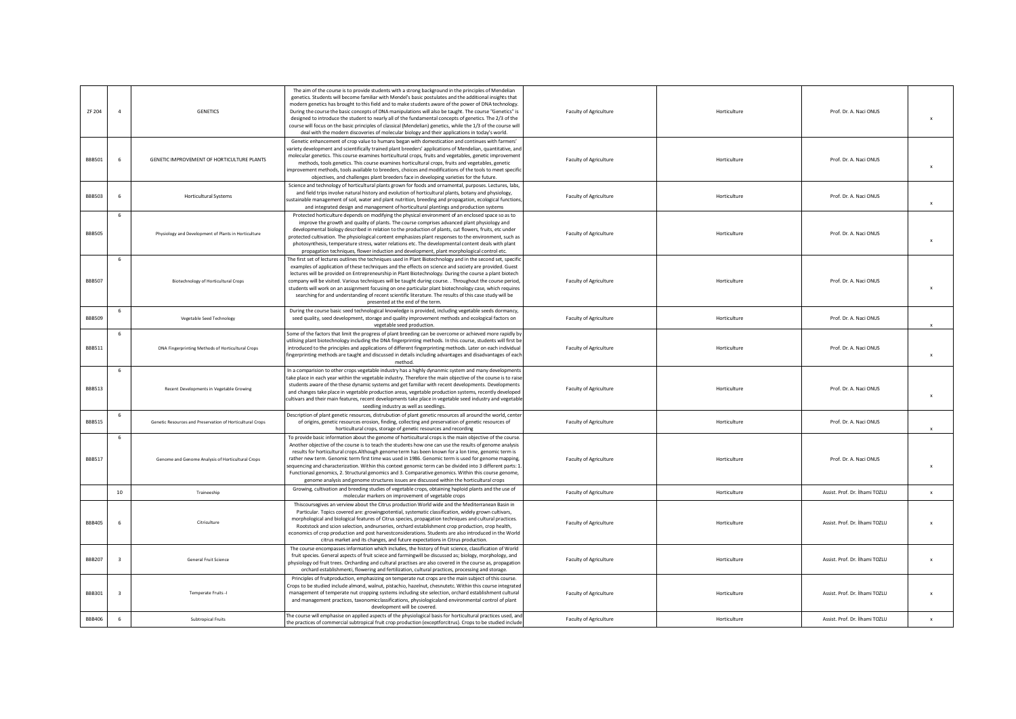| ZF 204        |                | <b>GENETICS</b>                                           | The aim of the course is to provide students with a strong background in the principles of Mendelian<br>genetics. Students will become familiar with Mendel's basic postulates and the additional insights that<br>modern genetics has brought to this field and to make students aware of the power of DNA technology.<br>During the course the basic concepts of DNA manipulations will also be taught. The course "Genetics" is<br>designed to introduce the student to nearly all of the fundamental concepts of genetics. The 2/3 of the<br>course will focus on the basic principles of classical (Mendelian) genetics, while the 1/3 of the course will<br>deal with the modern discoveries of molecular biology and their applications in today's world. | Faculty of Agriculture        | Horticulture | Prof. Dr. A. Naci ONUS         | $\boldsymbol{\mathsf{x}}$ |
|---------------|----------------|-----------------------------------------------------------|------------------------------------------------------------------------------------------------------------------------------------------------------------------------------------------------------------------------------------------------------------------------------------------------------------------------------------------------------------------------------------------------------------------------------------------------------------------------------------------------------------------------------------------------------------------------------------------------------------------------------------------------------------------------------------------------------------------------------------------------------------------|-------------------------------|--------------|--------------------------------|---------------------------|
| <b>BBB501</b> |                | GENETIC IMPROVEMENT OF HORTICULTURE PLANTS                | Genetic enhancement of crop value to humans began with domestication and continues with farmers'<br>variety development and scientifically trained plant breeders' applications of Mendelian, quantitative, and<br>molecular genetics. This course examines horticultural crops, fruits and vegetables, genetic improvement<br>methods, tools genetics. This course examines horticultural crops, fruits and vegetables, genetic<br>improvement methods, tools available to breeders, choices and modifications of the tools to meet specific<br>objectives, and challenges plant breeders face in developing varieties for the future.                                                                                                                          | Faculty of Agriculture        | Horticulture | Prof. Dr. A. Naci ONUS         | $\boldsymbol{\mathsf{x}}$ |
| <b>BBB503</b> | -6             | <b>Horticultural Systems</b>                              | Science and technology of horticultural plants grown for foods and ornamental, purposes. Lectures, labs,<br>and field trips involve natural history and evolution of horticultural plants, botany and physiology,<br>sustainable management of soil, water and plant nutrition, breeding and propagation, ecological functions,<br>and integrated design and management of horticultural plantings and production systems                                                                                                                                                                                                                                                                                                                                        | <b>Faculty of Agriculture</b> | Horticulture | Prof. Dr. A. Naci ONUS         | $\mathbf{x}$              |
| <b>BBB505</b> | 6              | Physiology and Development of Plants in Horticulture      | Protected horticulture depends on modifying the physical environment of an enclosed space so as to<br>improve the growth and quality of plants. The course comprises advanced plant physiology and<br>developmental biology described in relation to the production of plants, cut flowers, fruits, etc under<br>protected cultivation. The physiological content emphasizes plant responses to the environment, such as<br>photosynthesis, temperature stress, water relations etc. The developmental content deals with plant<br>propagation techniques, flower induction and development, plant morphological control etc.                                                                                                                                    | Faculty of Agriculture        | Horticulture | Prof. Dr. A. Naci ONUS         | $\mathbf{x}$              |
| <b>BBB507</b> | 6              | Biotechnology of Horticultural Crops                      | The first set of lectures outlines the techniques used in Plant Biotechnology and in the second set, specific<br>examples of application of these techniques and the effects on science and society are provided. Guest<br>lectures will be provided on Entrepreneurship in Plant Biotechnology. During the course a plant biotech<br>company will be visited. Various techniques will be taught during course. . Throughout the course period,<br>students will work on an assignment focusing on one particular plant biotechnology case, which requires<br>searching for and understanding of recent scientific literature. The results of this case study will be<br>presented at the end of the term.                                                       | Faculty of Agriculture        | Horticulture | Prof. Dr. A. Naci ONUS         |                           |
| <b>BBB509</b> |                | Vegetable Seed Technology                                 | During the course basic seed technological knowledge is provided, including vegetable seeds dormancy,<br>seed quality, seed development, storage and quality improvement methods and ecological factors on<br>vegetable seed production.                                                                                                                                                                                                                                                                                                                                                                                                                                                                                                                         | Faculty of Agriculture        | Horticulture | Prof. Dr. A. Naci ONUS         |                           |
| <b>BBB511</b> | 6              | DNA Fingerprinting Methods of Horticultural Crops         | Some of the factors that limit the progress of plant breeding can be overcome or achieved more rapidly by<br>utilising plant biotechnology including the DNA fingerprinting methods. In this course, students will first be<br>introduced to the principles and applications of different fingerprinting methods. Later on each individual<br>fingerprinting methods are taught and discussed in details including advantages and disadvantages of each<br>method                                                                                                                                                                                                                                                                                                | Faculty of Agriculture        | Horticulture | Prof. Dr. A. Naci ONUS         | $\mathbf{x}$              |
| <b>BBB513</b> | 6              | Recent Developments in Vegetable Growing                  | In a comparision to other crops vegetable industry has a highly dynanmic system and many developments<br>take place in each year within the vegetable industry. Therefore the main objective of the course is to raise<br>students aware of the these dynamic systems and get familiar with recent developments. Developments<br>and changes take place in vegetable production areas, vegetable production systems, recently developed<br>cultivars and their main features, recent developments take place in vegetable seed industry and vegetable<br>seedling industry as well as seedlings.                                                                                                                                                                 | Faculty of Agriculture        | Horticulture | Prof. Dr. A. Naci ONUS         | $\mathbf{x}$              |
| <b>BBB515</b> |                | Genetic Resources and Preservation of Horticultural Crops | Description of plant genetic resources, distrubution of plant genetic resources all around the world, center<br>of origins, genetic resources erosion, finding, collecting and preservation of genetic resources of<br>horticultural crops, storage of genetic resources and recording                                                                                                                                                                                                                                                                                                                                                                                                                                                                           | Faculty of Agriculture        | Horticulture | Prof. Dr. A. Naci ONUS         | $\mathbf{x}$              |
| <b>BBB517</b> | 6              | Genome and Genome Analysis of Horticultural Crops         | To provide basic information about the genome of horticultural crops is the main objective of the course.<br>Another objective of the course is to teach the students how one can use the results of genome analysis<br>results for horticultural crops. Although genome term has been known for a lon time, genomic term is<br>rather new term. Genomic term first time was used in 1986. Genomic term is used for genome mapping,<br>sequencing and characterization. Within this context genomic term can be divided into 3 different parts: 1.<br>Functionasl genomics, 2. Structural genomics and 3. Comparative genomics. Within this course genome,<br>genome analysis and genome structures issues are discussed within the horticultural crops          | Faculty of Agriculture        | Horticulture | Prof. Dr. A. Naci ONUS         | $\boldsymbol{\mathsf{x}}$ |
|               | 10             | Traineeship                                               | Growing, cultivation and breeding studies of vegetable crops, obtaining haploid plants and the use of<br>molecular markers on improvement of vegetable crops                                                                                                                                                                                                                                                                                                                                                                                                                                                                                                                                                                                                     | Faculty of Agriculture        | Horticulture | Assist. Prof. Dr. İlhami TOZLU | $\boldsymbol{\mathsf{x}}$ |
| <b>BBB405</b> |                | Citriculture                                              | Thiscoursegives an verview about the Citrus production World wide and the Mediterranean Basin in<br>Particular. Topics covered are: growingpotential, systematic classification, widely grown cultivars,<br>morphological and biological features of Citrus species, propagation techniques and cultural practices.<br>Rootstock and scion selection, andnurseries, orchard establishment crop production, crop health,<br>economics of crop production and post harvestconsiderations. Students are also introduced in the World<br>citrus market and its changes, and future expectations in Citrus production.                                                                                                                                                | <b>Faculty of Agriculture</b> | Horticulture | Assist, Prof. Dr. İlhami TOZLU | $\boldsymbol{\mathsf{x}}$ |
| <b>BBB207</b> | $\overline{3}$ | General Fruit Science                                     | The course encompasses information which includes, the history of fruit science, classification of World<br>fruit species. General aspects of fruit sciece and farmingwill be discussed as; biology, morphology, and<br>physiology od fruit trees. Orcharding and cultural practises are also covered in the course as, propagation                                                                                                                                                                                                                                                                                                                                                                                                                              | Faculty of Agriculture        | Horticulture | Assist. Prof. Dr. İlhami TOZLU | $\mathbf x$               |
|               |                |                                                           | orchard establishmenti, flowering and fertilization, cultural practices, processing and storage.                                                                                                                                                                                                                                                                                                                                                                                                                                                                                                                                                                                                                                                                 |                               |              |                                |                           |
| <b>BBB301</b> |                | Temperate Fruits -I                                       | Principles of fruitproduction, emphasizing on temperate nut crops are the main subject of this course.<br>Crops to be studied include almond, walnut, pistachio, hazelnut, chesnutetc. Within this course integrated<br>management of temperate nut cropping systems including site selection, orchard establishment cultural<br>and management practices, taxonomicclassifications, physiologicaland environmental control of plant<br>development will be covered.                                                                                                                                                                                                                                                                                             | Faculty of Agriculture        | Horticulture | Assist. Prof. Dr. İlhami TOZLU | $\mathbf{x}$              |